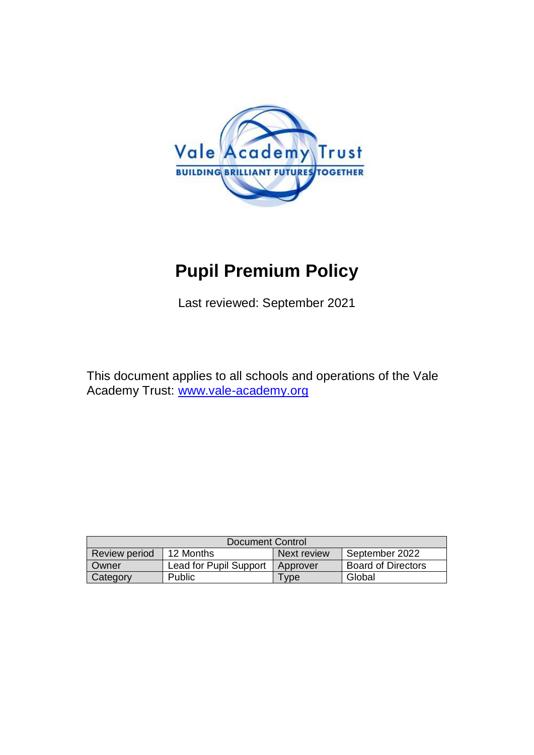

# **Pupil Premium Policy**

Last reviewed: September 2021

This document applies to all schools and operations of the Vale Academy Trust: [www.vale-academy.org](http://www.vale-academy.org/)

| Document Control     |                        |             |                           |
|----------------------|------------------------|-------------|---------------------------|
| <b>Review period</b> | 12 Months              | Next review | September 2022            |
| Owner                | Lead for Pupil Support | Approver    | <b>Board of Directors</b> |
| Category             | <b>Public</b>          | <b>vpe</b>  | Global                    |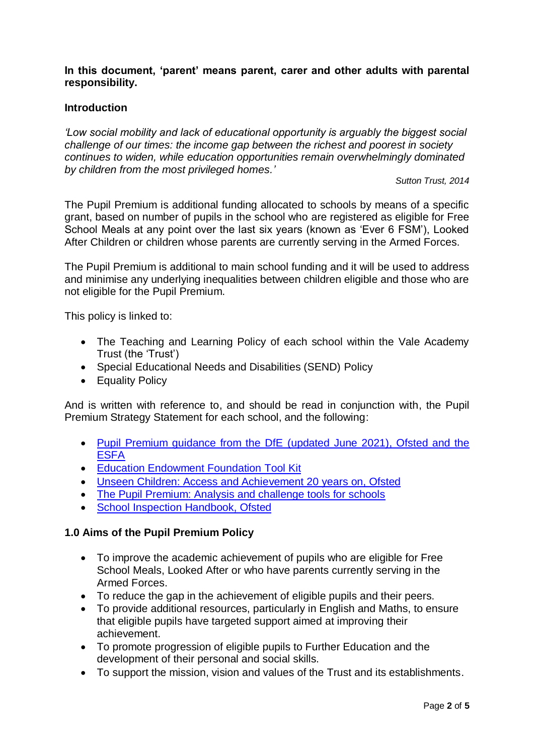# **In this document, 'parent' means parent, carer and other adults with parental responsibility.**

# **Introduction**

*'Low social mobility and lack of educational opportunity is arguably the biggest social challenge of our times: the income gap between the richest and poorest in society continues to widen, while education opportunities remain overwhelmingly dominated by children from the most privileged homes.'*

*Sutton Trust, 2014*

The Pupil Premium is additional funding allocated to schools by means of a specific grant, based on number of pupils in the school who are registered as eligible for Free School Meals at any point over the last six years (known as 'Ever 6 FSM'), Looked After Children or children whose parents are currently serving in the Armed Forces.

The Pupil Premium is additional to main school funding and it will be used to address and minimise any underlying inequalities between children eligible and those who are not eligible for the Pupil Premium.

This policy is linked to:

- The Teaching and Learning Policy of each school within the Vale Academy Trust (the 'Trust')
- Special Educational Needs and Disabilities (SEND) Policy
- Equality Policy

And is written with reference to, and should be read in conjunction with, the Pupil Premium Strategy Statement for each school, and the following:

- [Pupil Premium guidance from the DfE](https://www.gov.uk/guidance/pupil-premium-information-for-schools-and-alternative-provision-settings) (updated June 2021), Ofsted and the **[ESFA](https://www.gov.uk/guidance/pupil-premium-information-for-schools-and-alternative-provision-settings)**
- **[Education Endowment Foundation](https://educationendowmentfoundation.org.uk/evidence-summaries/teaching-learning-toolkit#closeSignup) Tool Kit**
- [Unseen Children: Access and Achievement 20 years on, Ofsted](https://assets.publishing.service.gov.uk/government/uploads/system/uploads/attachment_data/file/379157/Unseen_20children_20-_20access_20and_20achievement_2020_20years_20on.pdf)
- [The Pupil Premium: Analysis and challenge tools for schools](https://www.gov.uk/government/publications/the-pupil-premium-analysis-and-challenge-tools-for-schools)
- [School Inspection Handbook, Ofsted](https://www.gov.uk/government/publications/school-inspection-handbook-eif)

# **1.0 Aims of the Pupil Premium Policy**

- To improve the academic achievement of pupils who are eligible for Free School Meals, Looked After or who have parents currently serving in the Armed Forces.
- To reduce the gap in the achievement of eligible pupils and their peers.
- To provide additional resources, particularly in English and Maths, to ensure that eligible pupils have targeted support aimed at improving their achievement.
- To promote progression of eligible pupils to Further Education and the development of their personal and social skills.
- To support the mission, vision and values of the Trust and its establishments.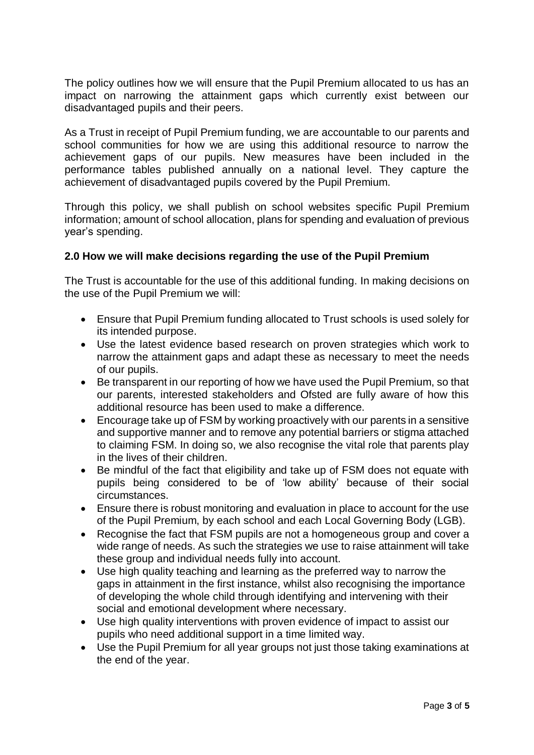The policy outlines how we will ensure that the Pupil Premium allocated to us has an impact on narrowing the attainment gaps which currently exist between our disadvantaged pupils and their peers.

As a Trust in receipt of Pupil Premium funding, we are accountable to our parents and school communities for how we are using this additional resource to narrow the achievement gaps of our pupils. New measures have been included in the performance tables published annually on a national level. They capture the achievement of disadvantaged pupils covered by the Pupil Premium.

Through this policy, we shall publish on school websites specific Pupil Premium information; amount of school allocation, plans for spending and evaluation of previous year's spending.

# **2.0 How we will make decisions regarding the use of the Pupil Premium**

The Trust is accountable for the use of this additional funding. In making decisions on the use of the Pupil Premium we will:

- Ensure that Pupil Premium funding allocated to Trust schools is used solely for its intended purpose.
- Use the latest evidence based research on proven strategies which work to narrow the attainment gaps and adapt these as necessary to meet the needs of our pupils.
- Be transparent in our reporting of how we have used the Pupil Premium, so that our parents, interested stakeholders and Ofsted are fully aware of how this additional resource has been used to make a difference.
- Encourage take up of FSM by working proactively with our parents in a sensitive and supportive manner and to remove any potential barriers or stigma attached to claiming FSM. In doing so, we also recognise the vital role that parents play in the lives of their children.
- Be mindful of the fact that eligibility and take up of FSM does not equate with pupils being considered to be of 'low ability' because of their social circumstances.
- Ensure there is robust monitoring and evaluation in place to account for the use of the Pupil Premium, by each school and each Local Governing Body (LGB).
- Recognise the fact that FSM pupils are not a homogeneous group and cover a wide range of needs. As such the strategies we use to raise attainment will take these group and individual needs fully into account.
- Use high quality teaching and learning as the preferred way to narrow the gaps in attainment in the first instance, whilst also recognising the importance of developing the whole child through identifying and intervening with their social and emotional development where necessary.
- Use high quality interventions with proven evidence of impact to assist our pupils who need additional support in a time limited way.
- Use the Pupil Premium for all year groups not just those taking examinations at the end of the year.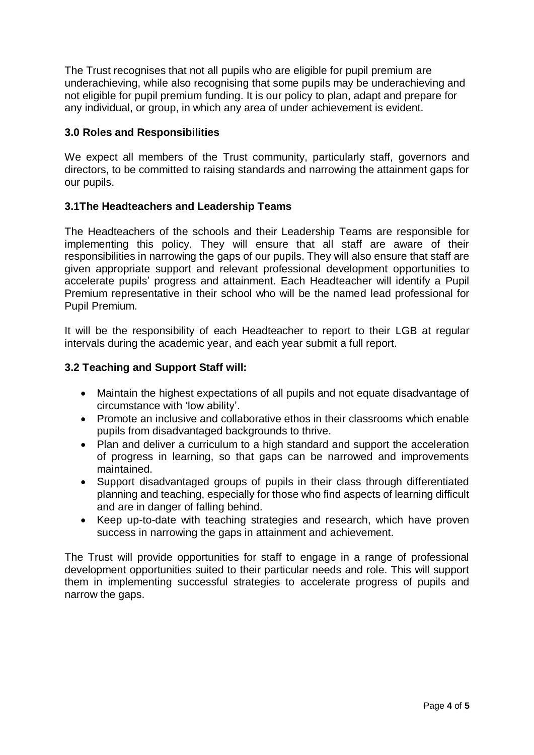The Trust recognises that not all pupils who are eligible for pupil premium are underachieving, while also recognising that some pupils may be underachieving and not eligible for pupil premium funding. It is our policy to plan, adapt and prepare for any individual, or group, in which any area of under achievement is evident.

# **3.0 Roles and Responsibilities**

We expect all members of the Trust community, particularly staff, governors and directors, to be committed to raising standards and narrowing the attainment gaps for our pupils.

#### **3.1The Headteachers and Leadership Teams**

The Headteachers of the schools and their Leadership Teams are responsible for implementing this policy. They will ensure that all staff are aware of their responsibilities in narrowing the gaps of our pupils. They will also ensure that staff are given appropriate support and relevant professional development opportunities to accelerate pupils' progress and attainment. Each Headteacher will identify a Pupil Premium representative in their school who will be the named lead professional for Pupil Premium.

It will be the responsibility of each Headteacher to report to their LGB at regular intervals during the academic year, and each year submit a full report.

# **3.2 Teaching and Support Staff will:**

- Maintain the highest expectations of all pupils and not equate disadvantage of circumstance with 'low ability'.
- Promote an inclusive and collaborative ethos in their classrooms which enable pupils from disadvantaged backgrounds to thrive.
- Plan and deliver a curriculum to a high standard and support the acceleration of progress in learning, so that gaps can be narrowed and improvements maintained.
- Support disadvantaged groups of pupils in their class through differentiated planning and teaching, especially for those who find aspects of learning difficult and are in danger of falling behind.
- Keep up-to-date with teaching strategies and research, which have proven success in narrowing the gaps in attainment and achievement.

The Trust will provide opportunities for staff to engage in a range of professional development opportunities suited to their particular needs and role. This will support them in implementing successful strategies to accelerate progress of pupils and narrow the gaps.